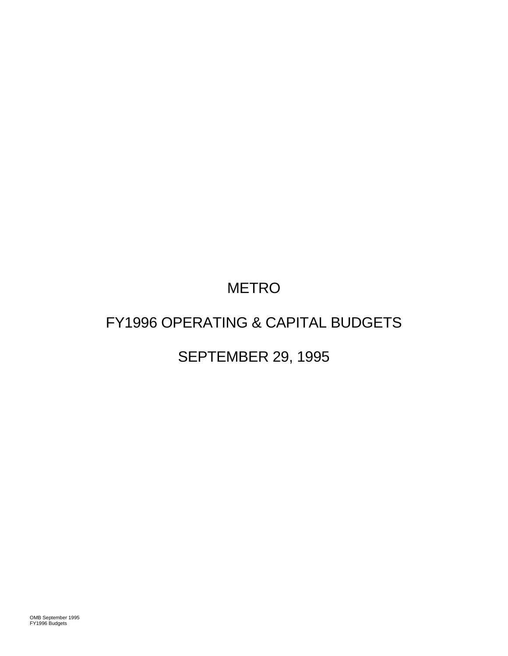# METRO

# FY1996 OPERATING & CAPITAL BUDGETS

# SEPTEMBER 29, 1995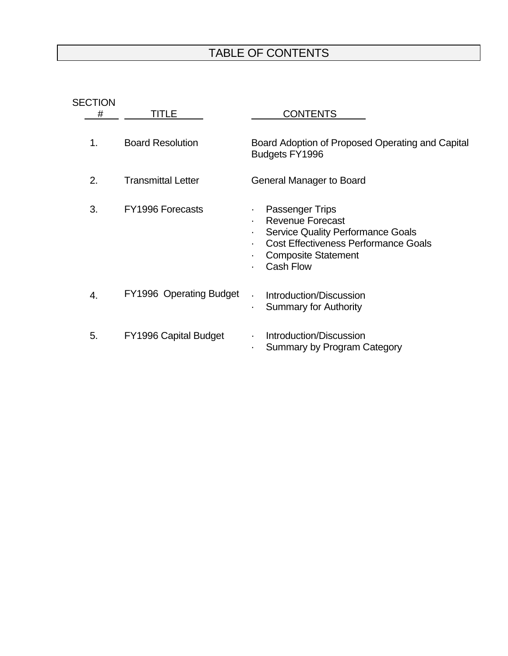# TABLE OF CONTENTS

| <b>SECTION</b><br># | TITLE                        | <b>CONTENTS</b>                                                                                                                                                                                                  |
|---------------------|------------------------------|------------------------------------------------------------------------------------------------------------------------------------------------------------------------------------------------------------------|
| 1.                  | <b>Board Resolution</b>      | Board Adoption of Proposed Operating and Capital<br>Budgets FY1996                                                                                                                                               |
| 2.                  | <b>Transmittal Letter</b>    | General Manager to Board                                                                                                                                                                                         |
| 3.                  | FY1996 Forecasts             | <b>Passenger Trips</b><br><b>Revenue Forecast</b><br>$\blacksquare$<br><b>Service Quality Performance Goals</b><br><b>Cost Effectiveness Performance Goals</b><br><b>Composite Statement</b><br><b>Cash Flow</b> |
| 4.                  | FY1996 Operating Budget      | Introduction/Discussion<br><b>Summary for Authority</b><br>٠.                                                                                                                                                    |
| 5.                  | <b>FY1996 Capital Budget</b> | Introduction/Discussion<br>Summary by Program Category                                                                                                                                                           |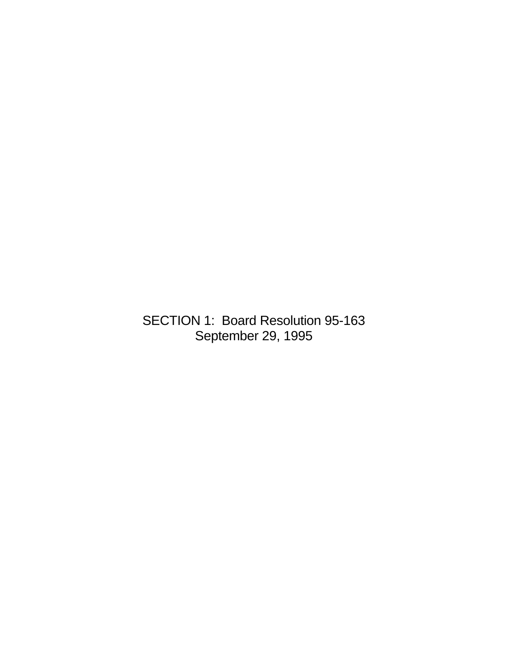SECTION 1: Board Resolution 95-163 September 29, 1995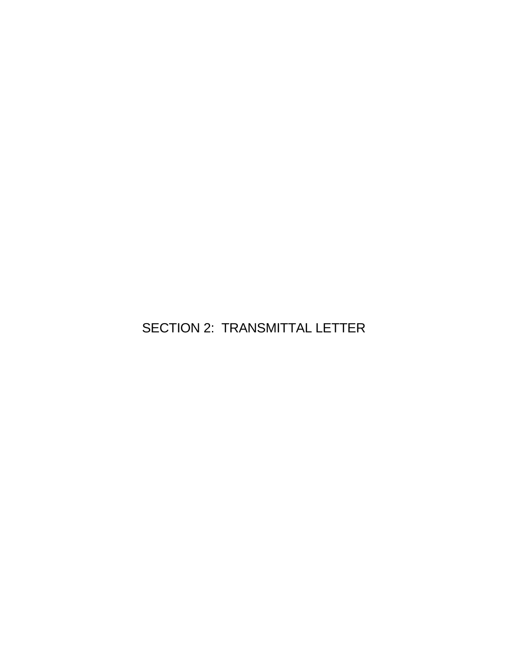SECTION 2: TRANSMITTAL LETTER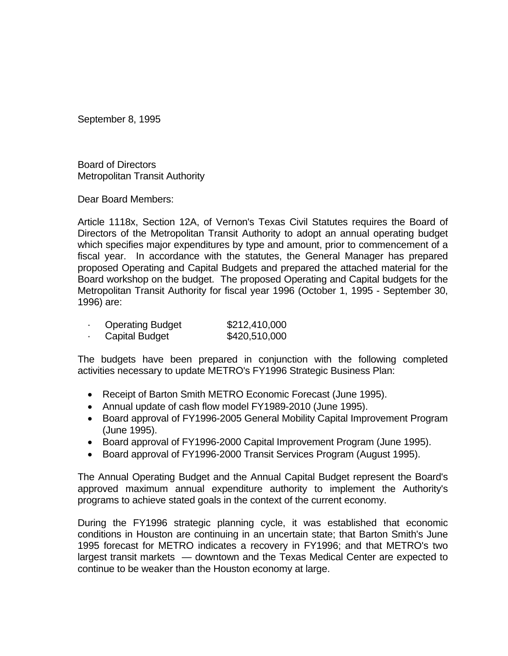September 8, 1995

Board of Directors Metropolitan Transit Authority

Dear Board Members:

Article 1118x, Section 12A, of Vernon's Texas Civil Statutes requires the Board of Directors of the Metropolitan Transit Authority to adopt an annual operating budget which specifies major expenditures by type and amount, prior to commencement of a fiscal year. In accordance with the statutes, the General Manager has prepared proposed Operating and Capital Budgets and prepared the attached material for the Board workshop on the budget. The proposed Operating and Capital budgets for the Metropolitan Transit Authority for fiscal year 1996 (October 1, 1995 - September 30, 1996) are:

| <b>Operating Budget</b> | \$212,410,000 |
|-------------------------|---------------|
| Capital Budget          | \$420,510,000 |

The budgets have been prepared in conjunction with the following completed activities necessary to update METRO's FY1996 Strategic Business Plan:

- Receipt of Barton Smith METRO Economic Forecast (June 1995).
- Annual update of cash flow model FY1989-2010 (June 1995).
- Board approval of FY1996-2005 General Mobility Capital Improvement Program (June 1995).
- Board approval of FY1996-2000 Capital Improvement Program (June 1995).
- Board approval of FY1996-2000 Transit Services Program (August 1995).

The Annual Operating Budget and the Annual Capital Budget represent the Board's approved maximum annual expenditure authority to implement the Authority's programs to achieve stated goals in the context of the current economy.

During the FY1996 strategic planning cycle, it was established that economic conditions in Houston are continuing in an uncertain state; that Barton Smith's June 1995 forecast for METRO indicates a recovery in FY1996; and that METRO's two largest transit markets — downtown and the Texas Medical Center are expected to continue to be weaker than the Houston economy at large.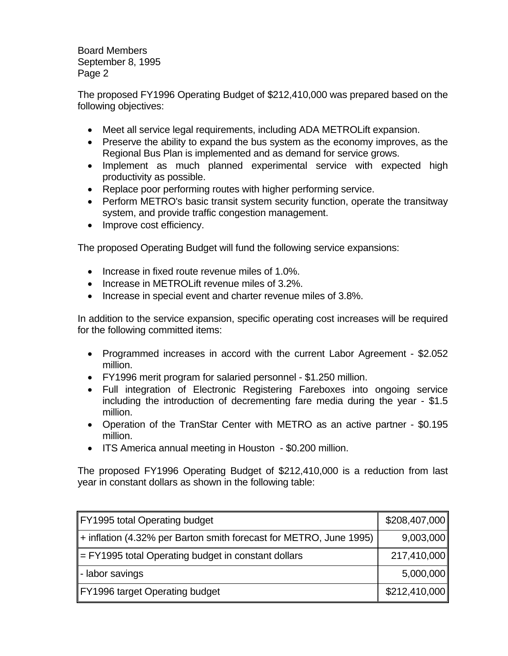Board Members September 8, 1995 Page 2

The proposed FY1996 Operating Budget of \$212,410,000 was prepared based on the following objectives:

- Meet all service legal requirements, including ADA METROLift expansion.
- Preserve the ability to expand the bus system as the economy improves, as the Regional Bus Plan is implemented and as demand for service grows.
- Implement as much planned experimental service with expected high productivity as possible.
- Replace poor performing routes with higher performing service.
- Perform METRO's basic transit system security function, operate the transitway system, and provide traffic congestion management.
- Improve cost efficiency.

The proposed Operating Budget will fund the following service expansions:

- Increase in fixed route revenue miles of 1.0%.
- Increase in METROLift revenue miles of 3.2%.
- Increase in special event and charter revenue miles of 3.8%.

In addition to the service expansion, specific operating cost increases will be required for the following committed items:

- Programmed increases in accord with the current Labor Agreement \$2.052 million.
- FY1996 merit program for salaried personnel \$1.250 million.
- Full integration of Electronic Registering Fareboxes into ongoing service including the introduction of decrementing fare media during the year - \$1.5 million.
- Operation of the TranStar Center with METRO as an active partner \$0.195 million.
- ITS America annual meeting in Houston \$0.200 million.

The proposed FY1996 Operating Budget of \$212,410,000 is a reduction from last year in constant dollars as shown in the following table:

| FY1995 total Operating budget                                           | \$208,407,000 |
|-------------------------------------------------------------------------|---------------|
| $\ $ + inflation (4.32% per Barton smith forecast for METRO, June 1995) | 9,003,000     |
| $\parallel$ = FY1995 total Operating budget in constant dollars         | 217,410,000   |
| - labor savings                                                         | 5,000,000     |
| FY1996 target Operating budget                                          | \$212,410,000 |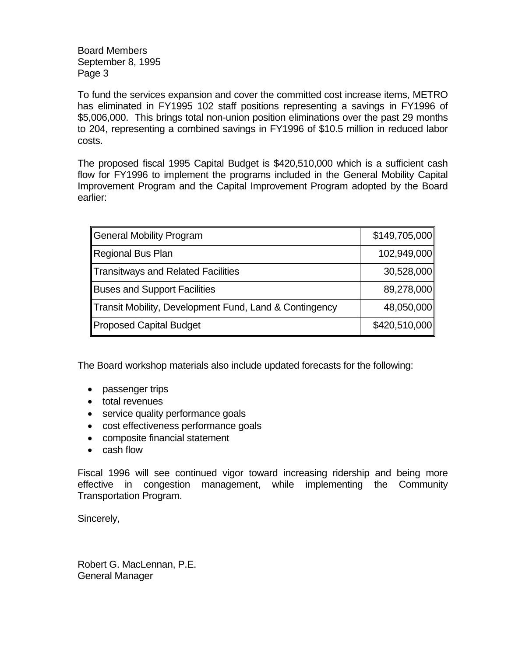Board Members September 8, 1995 Page 3

To fund the services expansion and cover the committed cost increase items, METRO has eliminated in FY1995 102 staff positions representing a savings in FY1996 of \$5,006,000. This brings total non-union position eliminations over the past 29 months to 204, representing a combined savings in FY1996 of \$10.5 million in reduced labor costs.

The proposed fiscal 1995 Capital Budget is \$420,510,000 which is a sufficient cash flow for FY1996 to implement the programs included in the General Mobility Capital Improvement Program and the Capital Improvement Program adopted by the Board earlier:

| General Mobility Program                               | \$149,705,000 |
|--------------------------------------------------------|---------------|
| Regional Bus Plan                                      | 102,949,000   |
| Transitways and Related Facilities                     | 30,528,000    |
| Buses and Support Facilities                           | 89,278,000    |
| Transit Mobility, Development Fund, Land & Contingency | 48,050,000    |
| Proposed Capital Budget                                | \$420,510,000 |

The Board workshop materials also include updated forecasts for the following:

- passenger trips
- total revenues
- service quality performance goals
- cost effectiveness performance goals
- composite financial statement
- cash flow

Fiscal 1996 will see continued vigor toward increasing ridership and being more effective in congestion management, while implementing the Community Transportation Program.

Sincerely,

Robert G. MacLennan, P.E. General Manager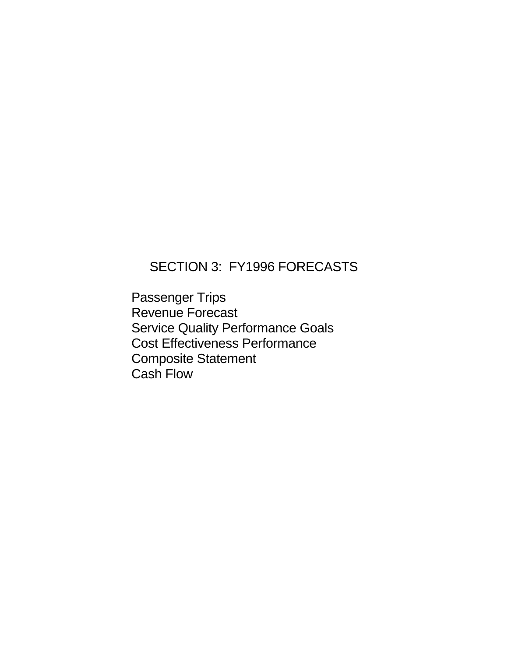## SECTION 3: FY1996 FORECASTS

Passenger Trips Revenue Forecast Service Quality Performance Goals Cost Effectiveness Performance Composite Statement Cash Flow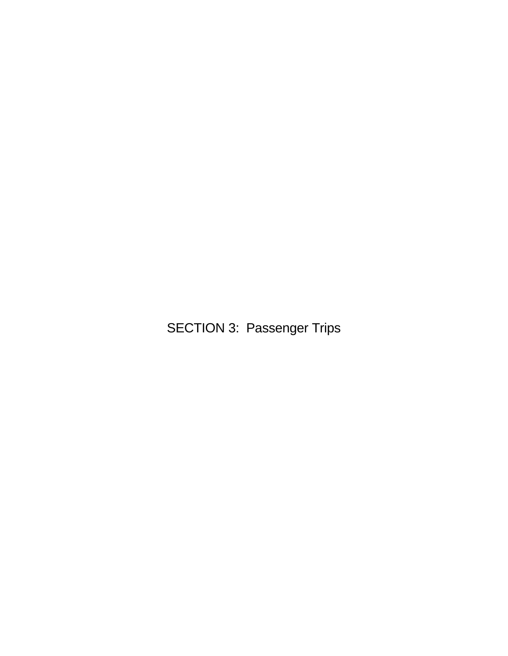SECTION 3: Passenger Trips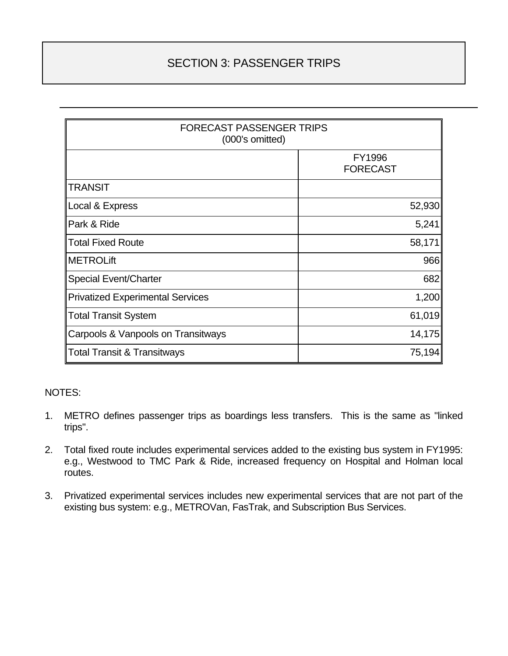### SECTION 3: PASSENGER TRIPS

| <b>FORECAST PASSENGER TRIPS</b><br>(000's omitted) |                           |  |  |
|----------------------------------------------------|---------------------------|--|--|
|                                                    | FY1996<br><b>FORECAST</b> |  |  |
| <b>TRANSIT</b>                                     |                           |  |  |
| Local & Express                                    | 52,930                    |  |  |
| Park & Ride                                        | 5,241                     |  |  |
| <b>Total Fixed Route</b>                           | 58,171                    |  |  |
| <b>METROLift</b>                                   | 966                       |  |  |
| <b>Special Event/Charter</b>                       | 682                       |  |  |
| <b>Privatized Experimental Services</b>            | 1,200                     |  |  |
| <b>Total Transit System</b>                        | 61,019                    |  |  |
| Carpools & Vanpools on Transitways                 | 14,175                    |  |  |
| <b>Total Transit &amp; Transitways</b>             | 75,194                    |  |  |

#### NOTES:

- 1. METRO defines passenger trips as boardings less transfers. This is the same as "linked trips".
- 2. Total fixed route includes experimental services added to the existing bus system in FY1995: e.g., Westwood to TMC Park & Ride, increased frequency on Hospital and Holman local routes.
- 3. Privatized experimental services includes new experimental services that are not part of the existing bus system: e.g., METROVan, FasTrak, and Subscription Bus Services.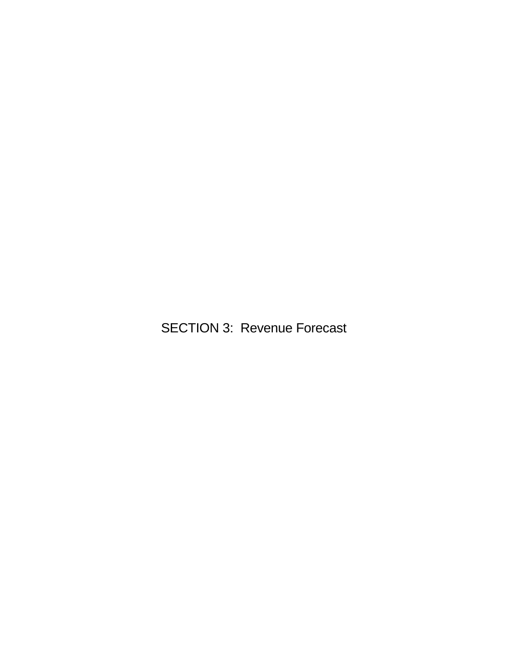SECTION 3: Revenue Forecast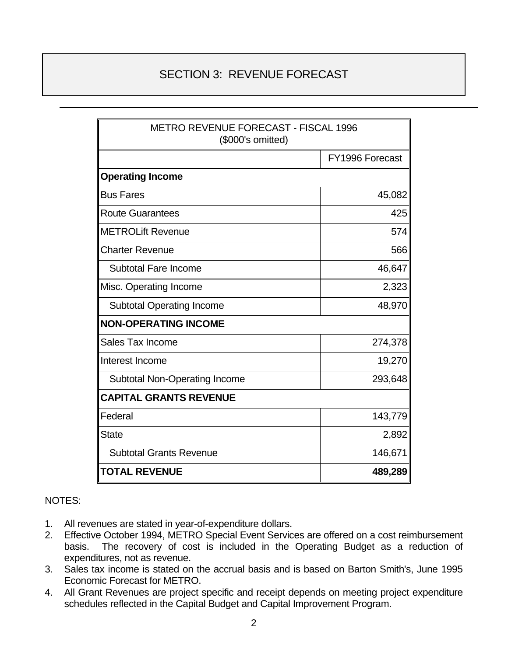### SECTION 3: REVENUE FORECAST

| <b>METRO REVENUE FORECAST - FISCAL 1996</b><br>(\$000's omitted) |                 |  |  |
|------------------------------------------------------------------|-----------------|--|--|
|                                                                  | FY1996 Forecast |  |  |
| <b>Operating Income</b>                                          |                 |  |  |
| <b>Bus Fares</b>                                                 | 45,082          |  |  |
| <b>Route Guarantees</b>                                          | 425             |  |  |
| <b>METROLift Revenue</b>                                         | 574             |  |  |
| <b>Charter Revenue</b>                                           | 566             |  |  |
| <b>Subtotal Fare Income</b>                                      | 46,647          |  |  |
| Misc. Operating Income                                           | 2,323           |  |  |
| <b>Subtotal Operating Income</b>                                 | 48,970          |  |  |
| <b>NON-OPERATING INCOME</b>                                      |                 |  |  |
| Sales Tax Income                                                 | 274,378         |  |  |
| Interest Income                                                  | 19,270          |  |  |
| <b>Subtotal Non-Operating Income</b>                             | 293,648         |  |  |
| <b>CAPITAL GRANTS REVENUE</b>                                    |                 |  |  |
| Federal                                                          | 143,779         |  |  |
| <b>State</b>                                                     | 2,892           |  |  |
| <b>Subtotal Grants Revenue</b>                                   | 146,671         |  |  |
| 489,289<br><b>TOTAL REVENUE</b>                                  |                 |  |  |

#### NOTES:

- 1. All revenues are stated in year-of-expenditure dollars.
- 2. Effective October 1994, METRO Special Event Services are offered on a cost reimbursement basis. The recovery of cost is included in the Operating Budget as a reduction of expenditures, not as revenue.
- 3. Sales tax income is stated on the accrual basis and is based on Barton Smith's, June 1995 Economic Forecast for METRO.
- 4. All Grant Revenues are project specific and receipt depends on meeting project expenditure schedules reflected in the Capital Budget and Capital Improvement Program.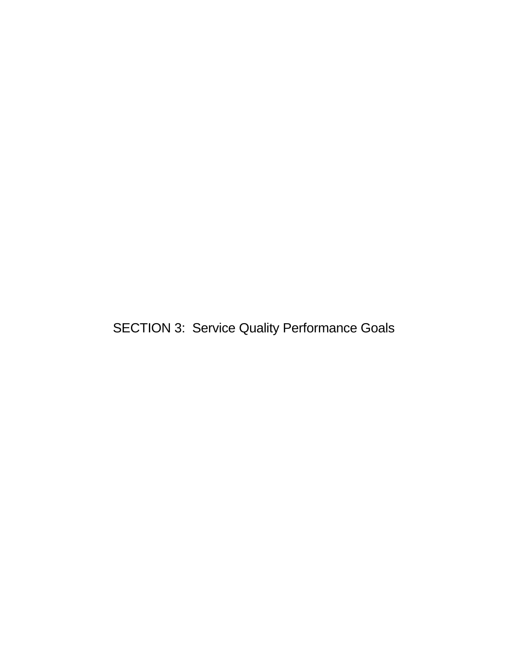SECTION 3: Service Quality Performance Goals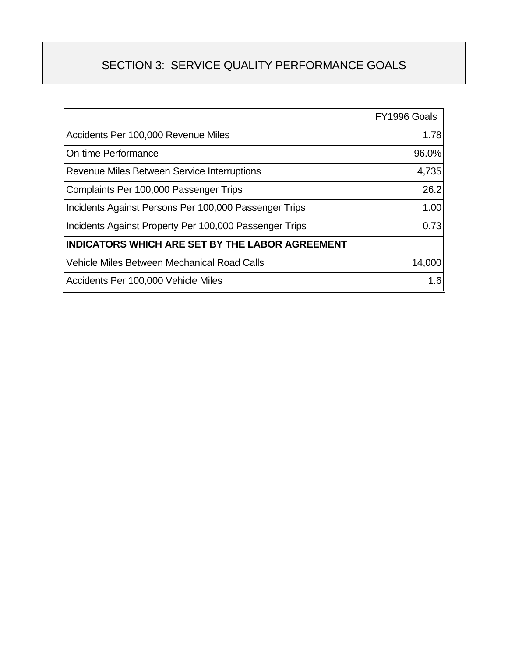## SECTION 3: SERVICE QUALITY PERFORMANCE GOALS

|                                                        | FY1996 Goals |
|--------------------------------------------------------|--------------|
| Accidents Per 100,000 Revenue Miles                    | 1.78         |
| <b>On-time Performance</b>                             | 96.0%        |
| Revenue Miles Between Service Interruptions            | 4,735        |
| Complaints Per 100,000 Passenger Trips                 | 26.2         |
| Incidents Against Persons Per 100,000 Passenger Trips  | 1.00         |
| Incidents Against Property Per 100,000 Passenger Trips | 0.73         |
| <b>INDICATORS WHICH ARE SET BY THE LABOR AGREEMENT</b> |              |
| Vehicle Miles Between Mechanical Road Calls            | 14,000       |
| Accidents Per 100,000 Vehicle Miles                    | 1.6          |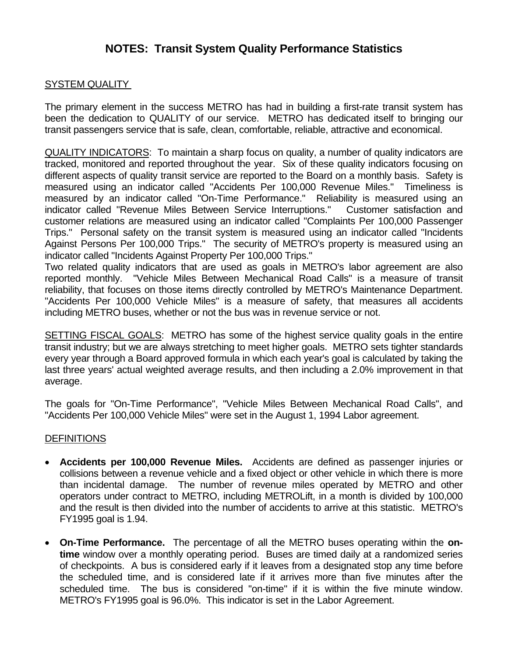### **NOTES: Transit System Quality Performance Statistics**

#### SYSTEM QUALITY

The primary element in the success METRO has had in building a first-rate transit system has been the dedication to QUALITY of our service. METRO has dedicated itself to bringing our transit passengers service that is safe, clean, comfortable, reliable, attractive and economical.

QUALITY INDICATORS: To maintain a sharp focus on quality, a number of quality indicators are tracked, monitored and reported throughout the year. Six of these quality indicators focusing on different aspects of quality transit service are reported to the Board on a monthly basis. Safety is measured using an indicator called "Accidents Per 100,000 Revenue Miles." Timeliness is measured by an indicator called "On-Time Performance." Reliability is measured using an indicator called "Revenue Miles Between Service Interruptions." Customer satisfaction and customer relations are measured using an indicator called "Complaints Per 100,000 Passenger Trips." Personal safety on the transit system is measured using an indicator called "Incidents Against Persons Per 100,000 Trips." The security of METRO's property is measured using an indicator called "Incidents Against Property Per 100,000 Trips."

Two related quality indicators that are used as goals in METRO's labor agreement are also reported monthly. "Vehicle Miles Between Mechanical Road Calls" is a measure of transit reliability, that focuses on those items directly controlled by METRO's Maintenance Department. "Accidents Per 100,000 Vehicle Miles" is a measure of safety, that measures all accidents including METRO buses, whether or not the bus was in revenue service or not.

SETTING FISCAL GOALS: METRO has some of the highest service quality goals in the entire transit industry; but we are always stretching to meet higher goals. METRO sets tighter standards every year through a Board approved formula in which each year's goal is calculated by taking the last three years' actual weighted average results, and then including a 2.0% improvement in that average.

The goals for "On-Time Performance", "Vehicle Miles Between Mechanical Road Calls", and "Accidents Per 100,000 Vehicle Miles" were set in the August 1, 1994 Labor agreement.

#### **DEFINITIONS**

- **Accidents per 100,000 Revenue Miles.** Accidents are defined as passenger injuries or collisions between a revenue vehicle and a fixed object or other vehicle in which there is more than incidental damage. The number of revenue miles operated by METRO and other operators under contract to METRO, including METROLift, in a month is divided by 100,000 and the result is then divided into the number of accidents to arrive at this statistic. METRO's FY1995 goal is 1.94.
- **On-Time Performance.** The percentage of all the METRO buses operating within the **ontime** window over a monthly operating period. Buses are timed daily at a randomized series of checkpoints. A bus is considered early if it leaves from a designated stop any time before the scheduled time, and is considered late if it arrives more than five minutes after the scheduled time. The bus is considered "on-time" if it is within the five minute window. METRO's FY1995 goal is 96.0%. This indicator is set in the Labor Agreement.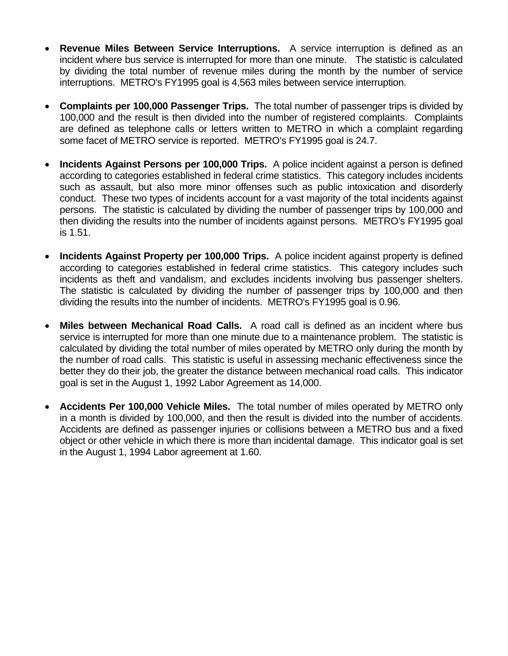- **Revenue Miles Between Service Interruptions.** A service interruption is defined as an incident where bus service is interrupted for more than one minute. The statistic is calculated by dividing the total number of revenue miles during the month by the number of service interruptions. METRO's FY1995 goal is 4,563 miles between service interruption.
- **Complaints per 100,000 Passenger Trips.** The total number of passenger trips is divided by 100,000 and the result is then divided into the number of registered complaints. Complaints are defined as telephone calls or letters written to METRO in which a complaint regarding some facet of METRO service is reported. METRO's FY1995 goal is 24.7.
- **Incidents Against Persons per 100,000 Trips.** A police incident against a person is defined according to categories established in federal crime statistics. This category includes incidents such as assault, but also more minor offenses such as public intoxication and disorderly conduct. These two types of incidents account for a vast majority of the total incidents against persons. The statistic is calculated by dividing the number of passenger trips by 100,000 and then dividing the results into the number of incidents against persons. METRO's FY1995 goal is 1.51.
- **Incidents Against Property per 100,000 Trips.** A police incident against property is defined according to categories established in federal crime statistics. This category includes such incidents as theft and vandalism, and excludes incidents involving bus passenger shelters. The statistic is calculated by dividing the number of passenger trips by 100,000 and then dividing the results into the number of incidents. METRO's FY1995 goal is 0.96.
- **Miles between Mechanical Road Calls.** A road call is defined as an incident where bus service is interrupted for more than one minute due to a maintenance problem. The statistic is calculated by dividing the total number of miles operated by METRO only during the month by the number of road calls. This statistic is useful in assessing mechanic effectiveness since the better they do their job, the greater the distance between mechanical road calls. This indicator goal is set in the August 1, 1992 Labor Agreement as 14,000.
- **Accidents Per 100,000 Vehicle Miles.** The total number of miles operated by METRO only in a month is divided by 100,000, and then the result is divided into the number of accidents. Accidents are defined as passenger injuries or collisions between a METRO bus and a fixed object or other vehicle in which there is more than incidental damage. This indicator goal is set in the August 1, 1994 Labor agreement at 1.60.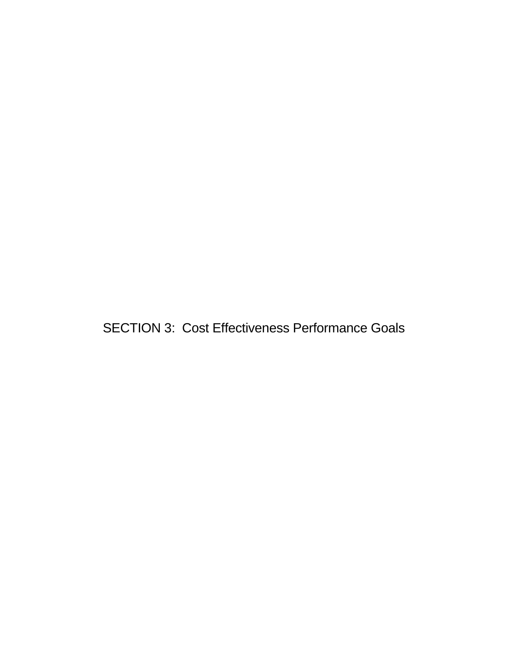SECTION 3: Cost Effectiveness Performance Goals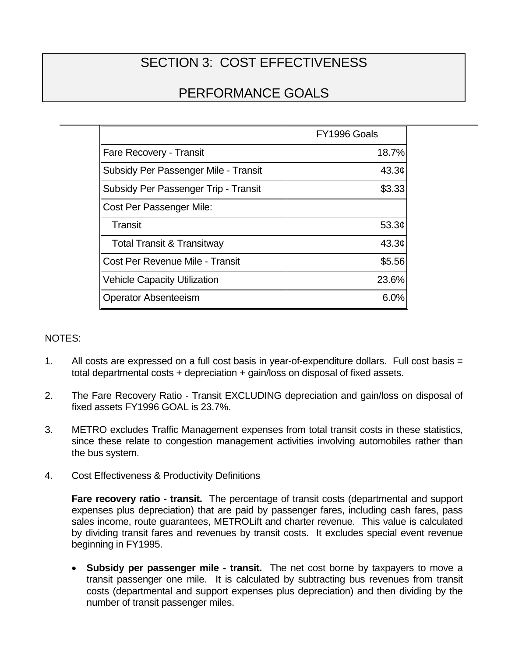# SECTION 3: COST EFFECTIVENESS

## PERFORMANCE GOALS

|                                       | FY1996 Goals      |
|---------------------------------------|-------------------|
| Fare Recovery - Transit               | 18.7%             |
| Subsidy Per Passenger Mile - Transit  | 43.3 $\phi$       |
| Subsidy Per Passenger Trip - Transit  | \$3.33            |
| Cost Per Passenger Mile:              |                   |
| Transit                               | 53.3 $\phi$       |
| <b>Total Transit &amp; Transitway</b> | 43.3 <sub>¢</sub> |
| Cost Per Revenue Mile - Transit       | \$5.56            |
| <b>Vehicle Capacity Utilization</b>   | 23.6%             |
| <b>Operator Absenteeism</b>           | 6.0%              |

#### NOTES:

- 1. All costs are expressed on a full cost basis in year-of-expenditure dollars. Full cost basis = total departmental costs + depreciation + gain/loss on disposal of fixed assets.
- 2. The Fare Recovery Ratio Transit EXCLUDING depreciation and gain/loss on disposal of fixed assets FY1996 GOAL is 23.7%.
- 3. METRO excludes Traffic Management expenses from total transit costs in these statistics, since these relate to congestion management activities involving automobiles rather than the bus system.
- 4. Cost Effectiveness & Productivity Definitions

**Fare recovery ratio - transit.** The percentage of transit costs (departmental and support expenses plus depreciation) that are paid by passenger fares, including cash fares, pass sales income, route guarantees, METROLift and charter revenue. This value is calculated by dividing transit fares and revenues by transit costs. It excludes special event revenue beginning in FY1995.

• **Subsidy per passenger mile - transit.** The net cost borne by taxpayers to move a transit passenger one mile. It is calculated by subtracting bus revenues from transit costs (departmental and support expenses plus depreciation) and then dividing by the number of transit passenger miles.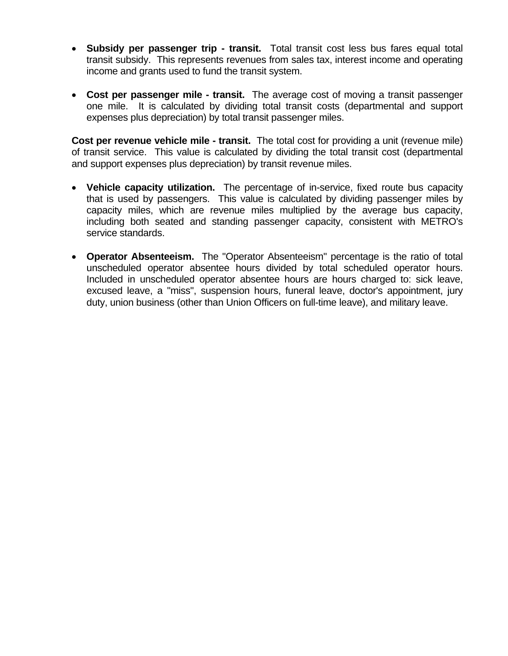- **Subsidy per passenger trip transit.** Total transit cost less bus fares equal total transit subsidy. This represents revenues from sales tax, interest income and operating income and grants used to fund the transit system.
- **Cost per passenger mile transit.** The average cost of moving a transit passenger one mile. It is calculated by dividing total transit costs (departmental and support expenses plus depreciation) by total transit passenger miles.

**Cost per revenue vehicle mile - transit.** The total cost for providing a unit (revenue mile) of transit service. This value is calculated by dividing the total transit cost (departmental and support expenses plus depreciation) by transit revenue miles.

- **Vehicle capacity utilization.** The percentage of in-service, fixed route bus capacity that is used by passengers. This value is calculated by dividing passenger miles by capacity miles, which are revenue miles multiplied by the average bus capacity, including both seated and standing passenger capacity, consistent with METRO's service standards.
- **Operator Absenteeism.** The "Operator Absenteeism" percentage is the ratio of total unscheduled operator absentee hours divided by total scheduled operator hours. Included in unscheduled operator absentee hours are hours charged to: sick leave, excused leave, a "miss", suspension hours, funeral leave, doctor's appointment, jury duty, union business (other than Union Officers on full-time leave), and military leave.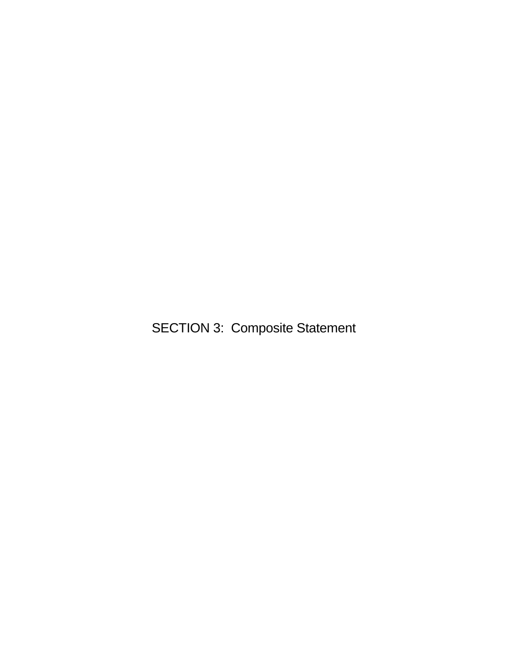SECTION 3: Composite Statement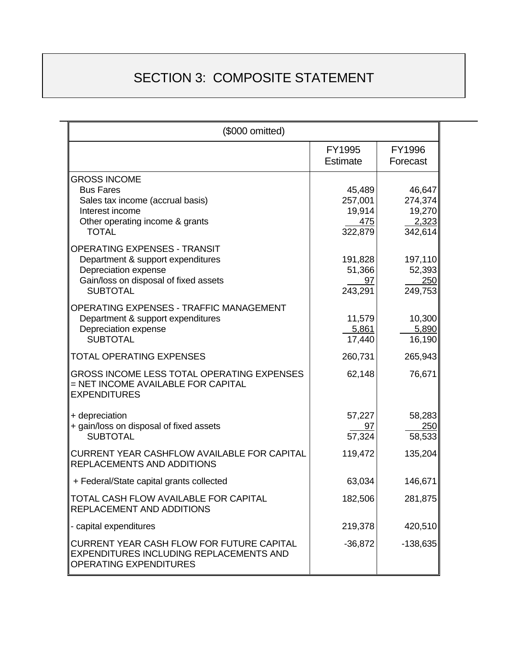# SECTION 3: COMPOSITE STATEMENT

| (\$000 omitted)                                                                                                                                              |                                                      |                                                 |  |  |
|--------------------------------------------------------------------------------------------------------------------------------------------------------------|------------------------------------------------------|-------------------------------------------------|--|--|
|                                                                                                                                                              | FY1995<br>Estimate                                   | FY1996<br>Forecast                              |  |  |
| <b>GROSS INCOME</b><br><b>Bus Fares</b><br>Sales tax income (accrual basis)<br>Interest income<br>Other operating income & grants<br><b>TOTAL</b>            | 45,489<br>257,001<br>19,914<br><u>475</u><br>322,879 | 46,647<br>274,374<br>19,270<br>2,323<br>342,614 |  |  |
| <b>OPERATING EXPENSES - TRANSIT</b><br>Department & support expenditures<br>Depreciation expense<br>Gain/loss on disposal of fixed assets<br><b>SUBTOTAL</b> | 191,828<br>51,366<br>97<br>243,291                   | 197,110<br>52,393<br>250<br>249,753             |  |  |
| <b>OPERATING EXPENSES - TRAFFIC MANAGEMENT</b><br>Department & support expenditures<br>Depreciation expense<br><b>SUBTOTAL</b>                               | 11,579<br>5,861<br>17,440                            | 10,300<br>5,890<br>16,190                       |  |  |
| <b>TOTAL OPERATING EXPENSES</b>                                                                                                                              | 260,731                                              | 265,943                                         |  |  |
| GROSS INCOME LESS TOTAL OPERATING EXPENSES<br>= NET INCOME AVAILABLE FOR CAPITAL<br><b>EXPENDITURES</b>                                                      | 62,148                                               | 76,671                                          |  |  |
| + depreciation<br>+ gain/loss on disposal of fixed assets<br><b>SUBTOTAL</b>                                                                                 | 57,227<br><u>97</u><br>$\overline{57,324}$           | 58,283<br>250<br>58,533                         |  |  |
| <b>CURRENT YEAR CASHFLOW AVAILABLE FOR CAPITAL</b><br>REPLACEMENTS AND ADDITIONS                                                                             | 119,472                                              | 135,204                                         |  |  |
| + Federal/State capital grants collected                                                                                                                     | 63,034                                               | 146,671                                         |  |  |
| TOTAL CASH FLOW AVAILABLE FOR CAPITAL<br>REPLACEMENT AND ADDITIONS                                                                                           | 182,506                                              | 281,875                                         |  |  |
| - capital expenditures                                                                                                                                       | 219,378                                              | 420,510                                         |  |  |
| <b>CURRENT YEAR CASH FLOW FOR FUTURE CAPITAL</b><br>EXPENDITURES INCLUDING REPLACEMENTS AND<br><b>OPERATING EXPENDITURES</b>                                 | $-36,872$                                            | $-138,635$                                      |  |  |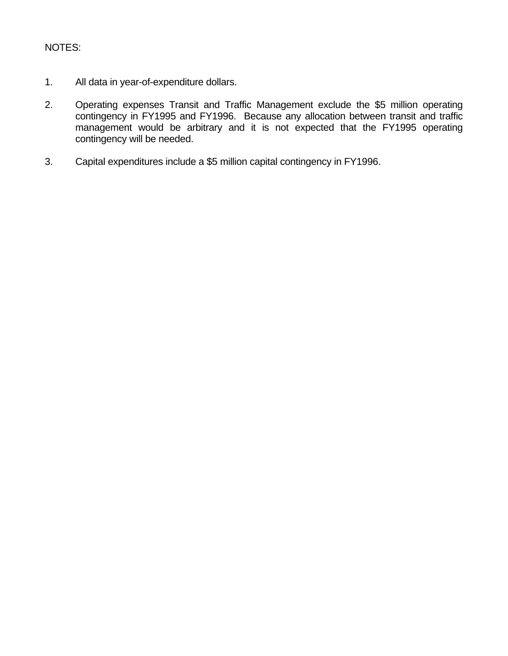#### NOTES:

- 1. All data in year-of-expenditure dollars.
- 2. Operating expenses Transit and Traffic Management exclude the \$5 million operating contingency in FY1995 and FY1996. Because any allocation between transit and traffic management would be arbitrary and it is not expected that the FY1995 operating contingency will be needed.
- 3. Capital expenditures include a \$5 million capital contingency in FY1996.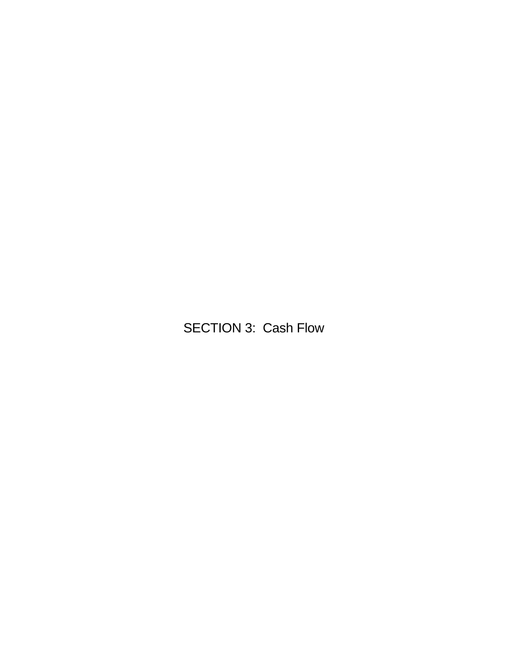SECTION 3: Cash Flow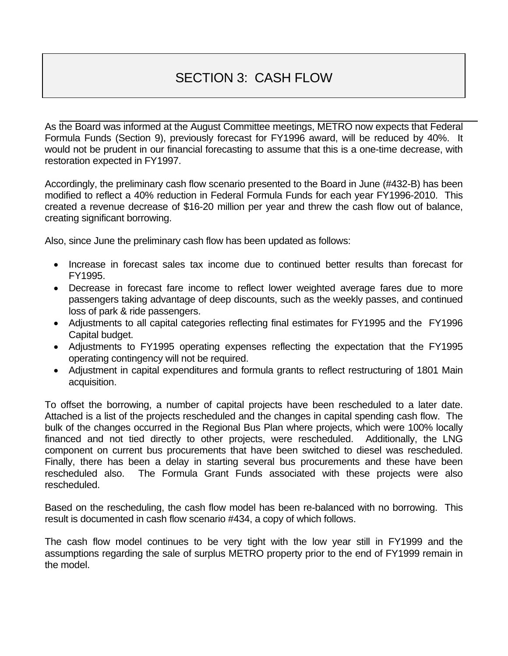# SECTION 3: CASH FLOW

As the Board was informed at the August Committee meetings, METRO now expects that Federal Formula Funds (Section 9), previously forecast for FY1996 award, will be reduced by 40%. It would not be prudent in our financial forecasting to assume that this is a one-time decrease, with restoration expected in FY1997.

Accordingly, the preliminary cash flow scenario presented to the Board in June (#432-B) has been modified to reflect a 40% reduction in Federal Formula Funds for each year FY1996-2010. This created a revenue decrease of \$16-20 million per year and threw the cash flow out of balance, creating significant borrowing.

Also, since June the preliminary cash flow has been updated as follows:

- Increase in forecast sales tax income due to continued better results than forecast for FY1995.
- Decrease in forecast fare income to reflect lower weighted average fares due to more passengers taking advantage of deep discounts, such as the weekly passes, and continued loss of park & ride passengers.
- Adjustments to all capital categories reflecting final estimates for FY1995 and the FY1996 Capital budget.
- Adjustments to FY1995 operating expenses reflecting the expectation that the FY1995 operating contingency will not be required.
- Adjustment in capital expenditures and formula grants to reflect restructuring of 1801 Main acquisition.

To offset the borrowing, a number of capital projects have been rescheduled to a later date. Attached is a list of the projects rescheduled and the changes in capital spending cash flow. The bulk of the changes occurred in the Regional Bus Plan where projects, which were 100% locally financed and not tied directly to other projects, were rescheduled. Additionally, the LNG component on current bus procurements that have been switched to diesel was rescheduled. Finally, there has been a delay in starting several bus procurements and these have been rescheduled also. The Formula Grant Funds associated with these projects were also rescheduled.

Based on the rescheduling, the cash flow model has been re-balanced with no borrowing. This result is documented in cash flow scenario #434, a copy of which follows.

The cash flow model continues to be very tight with the low year still in FY1999 and the assumptions regarding the sale of surplus METRO property prior to the end of FY1999 remain in the model.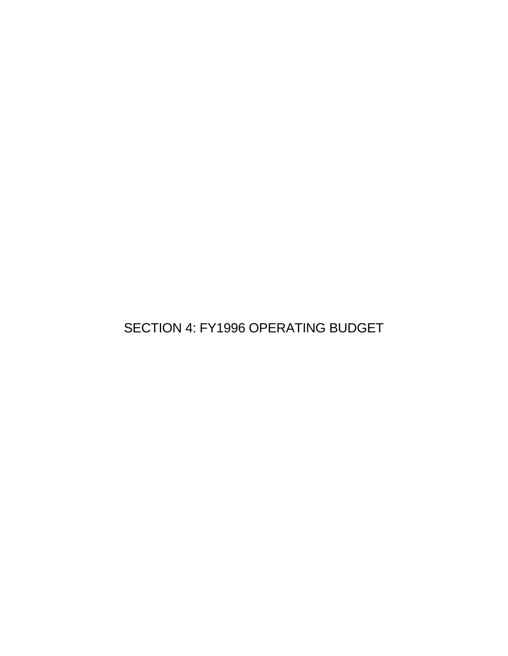SECTION 4: FY1996 OPERATING BUDGET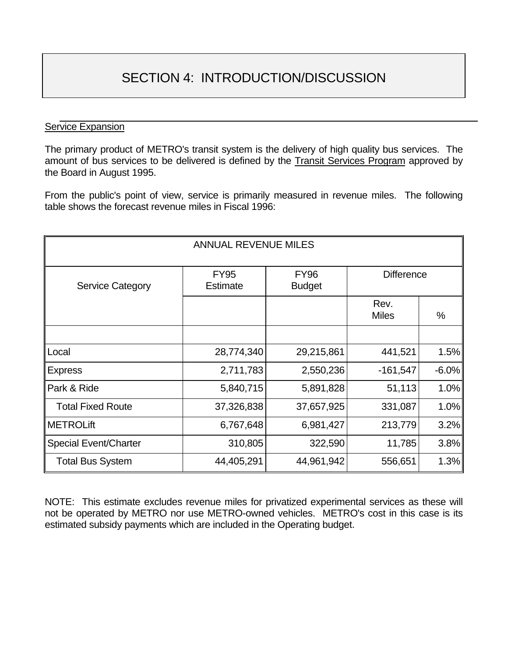## SECTION 4: INTRODUCTION/DISCUSSION

#### **Service Expansion**

The primary product of METRO's transit system is the delivery of high quality bus services. The amount of bus services to be delivered is defined by the Transit Services Program approved by the Board in August 1995.

From the public's point of view, service is primarily measured in revenue miles. The following table shows the forecast revenue miles in Fiscal 1996:

| <b>ANNUAL REVENUE MILES</b>  |                                |                              |                      |          |
|------------------------------|--------------------------------|------------------------------|----------------------|----------|
| <b>Service Category</b>      | <b>FY95</b><br><b>Estimate</b> | <b>FY96</b><br><b>Budget</b> | <b>Difference</b>    |          |
|                              |                                |                              | Rev.<br><b>Miles</b> | %        |
| Local                        | 28,774,340                     | 29,215,861                   | 441,521              | 1.5%     |
| <b>Express</b>               | 2,711,783                      | 2,550,236                    | $-161,547$           | $-6.0\%$ |
| Park & Ride                  | 5,840,715                      | 5,891,828                    | 51,113               | 1.0%     |
| <b>Total Fixed Route</b>     | 37,326,838                     | 37,657,925                   | 331,087              | 1.0%     |
| <b>METROLift</b>             | 6,767,648                      | 6,981,427                    | 213,779              | $3.2\%$  |
| <b>Special Event/Charter</b> | 310,805                        | 322,590                      | 11,785               | $3.8\%$  |
| <b>Total Bus System</b>      | 44,405,291                     | 44,961,942                   | 556,651              | 1.3%     |

NOTE: This estimate excludes revenue miles for privatized experimental services as these will not be operated by METRO nor use METRO-owned vehicles. METRO's cost in this case is its estimated subsidy payments which are included in the Operating budget.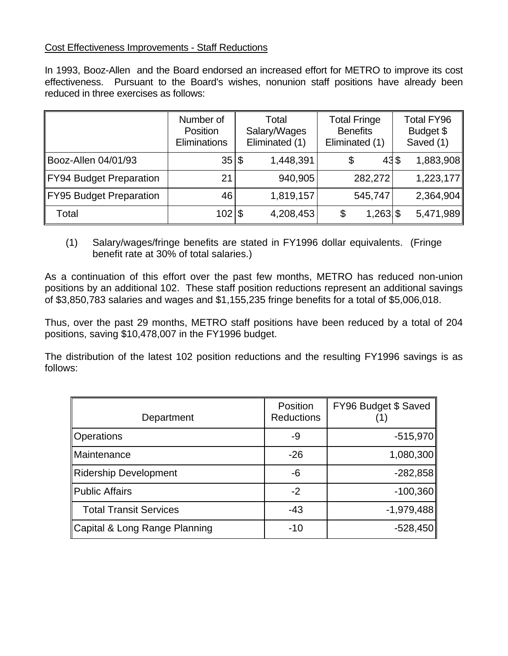#### Cost Effectiveness Improvements - Staff Reductions

In 1993, Booz-Allen and the Board endorsed an increased effort for METRO to improve its cost effectiveness. Pursuant to the Board's wishes, nonunion staff positions have already been reduced in three exercises as follows:

|                         | Number of<br>Position<br>Eliminations | Total<br>Salary/Wages<br>Eliminated (1) | <b>Total Fringe</b><br><b>Benefits</b><br>Eliminated (1) | <b>Total FY96</b><br>Budget \$<br>Saved (1) |
|-------------------------|---------------------------------------|-----------------------------------------|----------------------------------------------------------|---------------------------------------------|
| Booz-Allen 04/01/93     | $35 $ \$                              | 1,448,391                               | 43\$<br>\$                                               | 1,883,908                                   |
| FY94 Budget Preparation | 21                                    | 940,905                                 | 282,272                                                  | 1,223,177                                   |
| FY95 Budget Preparation | 46                                    | 1,819,157                               | 545,747                                                  | 2,364,904                                   |
| Total                   | $102$  \$                             | 4,208,453                               | $1,263$ \$                                               | 5,471,989                                   |

(1) Salary/wages/fringe benefits are stated in FY1996 dollar equivalents. (Fringe benefit rate at 30% of total salaries.)

As a continuation of this effort over the past few months, METRO has reduced non-union positions by an additional 102. These staff position reductions represent an additional savings of \$3,850,783 salaries and wages and \$1,155,235 fringe benefits for a total of \$5,006,018.

Thus, over the past 29 months, METRO staff positions have been reduced by a total of 204 positions, saving \$10,478,007 in the FY1996 budget.

The distribution of the latest 102 position reductions and the resulting FY1996 savings is as follows:

| Department                    | Position<br><b>Reductions</b> | FY96 Budget \$ Saved |
|-------------------------------|-------------------------------|----------------------|
| <b>Operations</b>             | -9                            | $-515,970$           |
| Maintenance                   | $-26$                         | 1,080,300            |
| <b>Ridership Development</b>  | -6                            | $-282,858$           |
| <b>Public Affairs</b>         | $-2$                          | $-100,360$           |
| <b>Total Transit Services</b> | $-43$                         | $-1,979,488$         |
| Capital & Long Range Planning | $-10$                         | $-528,450$           |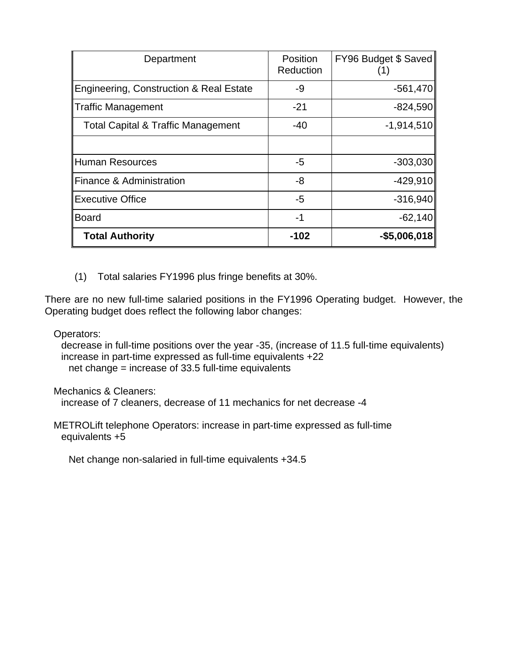| Department                                         | <b>Position</b><br>Reduction | FY96 Budget \$ Saved |
|----------------------------------------------------|------------------------------|----------------------|
| <b>Engineering, Construction &amp; Real Estate</b> | -9                           | $-561,470$           |
| Traffic Management                                 | $-21$                        | $-824,590$           |
| <b>Total Capital &amp; Traffic Management</b>      | $-40$                        | $-1,914,510$         |
|                                                    |                              |                      |
| Human Resources                                    | -5                           | $-303,030$           |
| <b>Finance &amp; Administration</b>                | -8                           | $-429,910$           |
| Executive Office                                   | $-5$                         | $-316,940$           |
| Board                                              | $-1$                         | $-62,140$            |
| <b>Total Authority</b>                             | $-102$                       | $-$ \$5,006,018      |

(1) Total salaries FY1996 plus fringe benefits at 30%.

There are no new full-time salaried positions in the FY1996 Operating budget. However, the Operating budget does reflect the following labor changes:

Operators:

 decrease in full-time positions over the year -35, (increase of 11.5 full-time equivalents) increase in part-time expressed as full-time equivalents +22 net change = increase of 33.5 full-time equivalents

Mechanics & Cleaners:

increase of 7 cleaners, decrease of 11 mechanics for net decrease -4

 METROLift telephone Operators: increase in part-time expressed as full-time equivalents +5

Net change non-salaried in full-time equivalents +34.5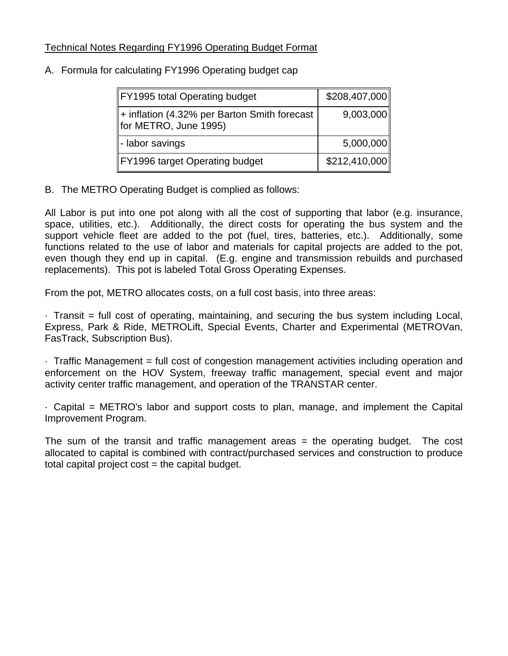#### Technical Notes Regarding FY1996 Operating Budget Format

| FY1995 total Operating budget                                         | \$208,407,000 |
|-----------------------------------------------------------------------|---------------|
| + inflation (4.32% per Barton Smith forecast<br>for METRO, June 1995) | 9,003,000     |
| - labor savings                                                       | 5,000,000     |
| FY1996 target Operating budget                                        | \$212,410,000 |

#### A. Formula for calculating FY1996 Operating budget cap

B. The METRO Operating Budget is complied as follows:

All Labor is put into one pot along with all the cost of supporting that labor (e.g. insurance, space, utilities, etc.). Additionally, the direct costs for operating the bus system and the support vehicle fleet are added to the pot (fuel, tires, batteries, etc.). Additionally, some functions related to the use of labor and materials for capital projects are added to the pot, even though they end up in capital. (E.g. engine and transmission rebuilds and purchased replacements). This pot is labeled Total Gross Operating Expenses.

From the pot, METRO allocates costs, on a full cost basis, into three areas:

· Transit = full cost of operating, maintaining, and securing the bus system including Local, Express, Park & Ride, METROLift, Special Events, Charter and Experimental (METROVan, FasTrack, Subscription Bus).

· Traffic Management = full cost of congestion management activities including operation and enforcement on the HOV System, freeway traffic management, special event and major activity center traffic management, and operation of the TRANSTAR center.

· Capital = METRO's labor and support costs to plan, manage, and implement the Capital Improvement Program.

The sum of the transit and traffic management areas = the operating budget. The cost allocated to capital is combined with contract/purchased services and construction to produce total capital project cost = the capital budget.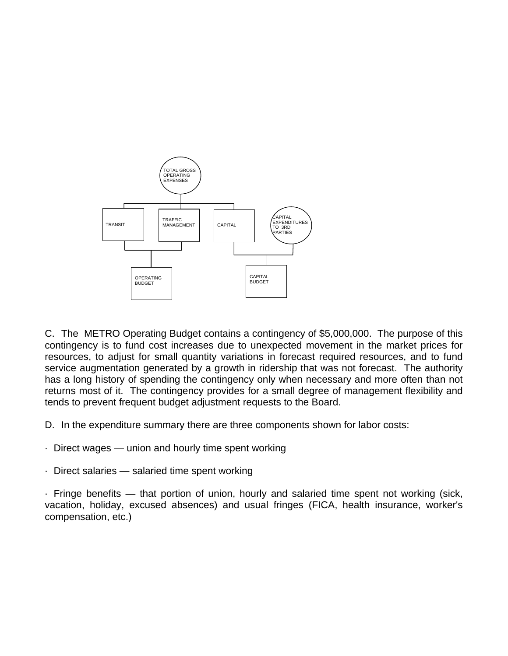

C. The METRO Operating Budget contains a contingency of \$5,000,000. The purpose of this contingency is to fund cost increases due to unexpected movement in the market prices for resources, to adjust for small quantity variations in forecast required resources, and to fund service augmentation generated by a growth in ridership that was not forecast. The authority has a long history of spending the contingency only when necessary and more often than not returns most of it. The contingency provides for a small degree of management flexibility and tends to prevent frequent budget adjustment requests to the Board.

D. In the expenditure summary there are three components shown for labor costs:

- · Direct wages union and hourly time spent working
- · Direct salaries salaried time spent working

· Fringe benefits — that portion of union, hourly and salaried time spent not working (sick, vacation, holiday, excused absences) and usual fringes (FICA, health insurance, worker's compensation, etc.)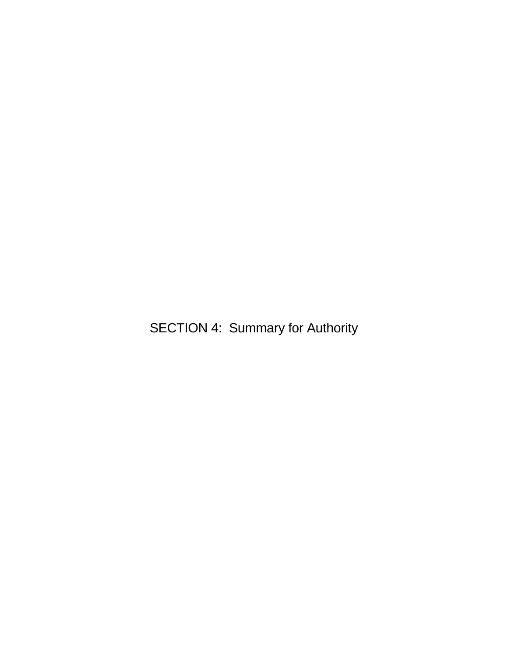SECTION 4: Summary for Authority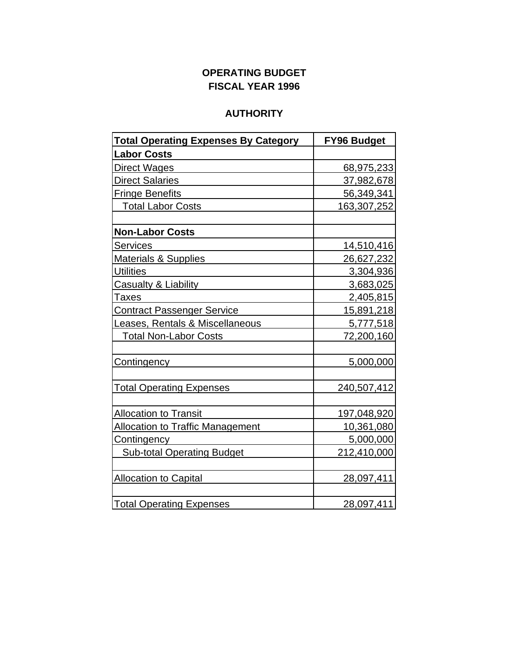### **OPERATING BUDGET FISCAL YEAR 1996**

### **AUTHORITY**

| <b>Total Operating Expenses By Category</b> | <b>FY96 Budget</b> |
|---------------------------------------------|--------------------|
| <b>Labor Costs</b>                          |                    |
| <b>Direct Wages</b>                         | 68,975,233         |
| <b>Direct Salaries</b>                      | 37,982,678         |
| <b>Fringe Benefits</b>                      | 56,349,341         |
| <b>Total Labor Costs</b>                    | 163,307,252        |
|                                             |                    |
| <b>Non-Labor Costs</b>                      |                    |
| <b>Services</b>                             | 14,510,416         |
| <b>Materials &amp; Supplies</b>             | 26,627,232         |
| <b>Utilities</b>                            | 3,304,936          |
| Casualty & Liability                        | 3,683,025          |
| <b>Taxes</b>                                | 2,405,815          |
| <b>Contract Passenger Service</b>           | 15,891,218         |
| Leases, Rentals & Miscellaneous             | 5,777,518          |
| <b>Total Non-Labor Costs</b>                | 72,200,160         |
|                                             |                    |
| Contingency                                 | 5,000,000          |
|                                             |                    |
| <b>Total Operating Expenses</b>             | 240,507,412        |
|                                             |                    |
| <b>Allocation to Transit</b>                | 197,048,920        |
| <b>Allocation to Traffic Management</b>     | 10,361,080         |
| Contingency                                 | 5,000,000          |
| <b>Sub-total Operating Budget</b>           | 212,410,000        |
| <b>Allocation to Capital</b>                | 28,097,411         |
| <b>Total Operating Expenses</b>             | 28,097,411         |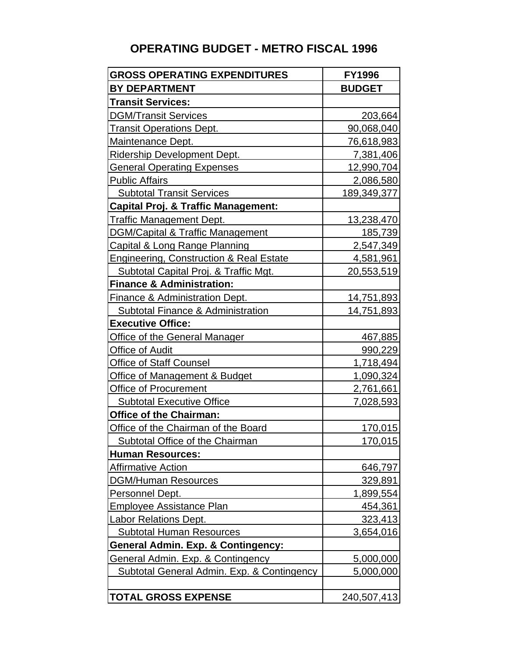# **OPERATING BUDGET - METRO FISCAL 1996**

| <b>GROSS OPERATING EXPENDITURES</b>            | <b>FY1996</b>      |
|------------------------------------------------|--------------------|
| <b>BY DEPARTMENT</b>                           | <b>BUDGET</b>      |
| <b>Transit Services:</b>                       |                    |
| <b>DGM/Transit Services</b>                    | 203,664            |
| <b>Transit Operations Dept.</b>                | 90,068,040         |
| Maintenance Dept.                              | 76,618,983         |
| Ridership Development Dept.                    | 7,381,406          |
| <b>General Operating Expenses</b>              | 12,990,704         |
| <b>Public Affairs</b>                          | 2,086,580          |
| <b>Subtotal Transit Services</b>               | <u>189,349,377</u> |
| <b>Capital Proj. &amp; Traffic Management:</b> |                    |
| <b>Traffic Management Dept.</b>                | <u>13,238,470</u>  |
| <b>DGM/Capital &amp; Traffic Management</b>    | 185,739            |
| <b>Capital &amp; Long Range Planning</b>       | 2,547,349          |
| Engineering, Construction & Real Estate        | 4,581,961          |
| Subtotal Capital Proj. & Traffic Mgt.          | 20,553,519         |
| <b>Finance &amp; Administration:</b>           |                    |
| Finance & Administration Dept.                 | <u>14,751,893</u>  |
| <b>Subtotal Finance &amp; Administration</b>   | 14,751,893         |
| <b>Executive Office:</b>                       |                    |
| <b>Office of the General Manager</b>           | <u>467,885</u>     |
| Office of Audit                                | 990,229            |
| <b>Office of Staff Counsel</b>                 | 1,718,494          |
| Office of Management & Budget                  | 1,090,324          |
| <b>Office of Procurement</b>                   | 2,761,661          |
| <b>Subtotal Executive Office</b>               | 7,028,593          |
| <b>Office of the Chairman:</b>                 |                    |
| Office of the Chairman of the Board            | 170,015            |
| <b>Subtotal Office of the Chairman</b>         | 170,015            |
| <b>Human Resources:</b>                        |                    |
| <b>Affirmative Action</b>                      | 646,797            |
| <b>DGM/Human Resources</b>                     | 329,891            |
| Personnel Dept.                                | 1,899,554          |
| <b>Employee Assistance Plan</b>                | <u>454,361</u>     |
| <b>Labor Relations Dept.</b>                   | 323,413            |
| <b>Subtotal Human Resources</b>                | 3,654,016          |
| <b>General Admin. Exp. &amp; Contingency:</b>  |                    |
| General Admin. Exp. & Contingency              | 5,000,000          |
| Subtotal General Admin. Exp. & Contingency     | 5,000,000          |
|                                                |                    |
| <b>TOTAL GROSS EXPENSE</b>                     | 240,507,413        |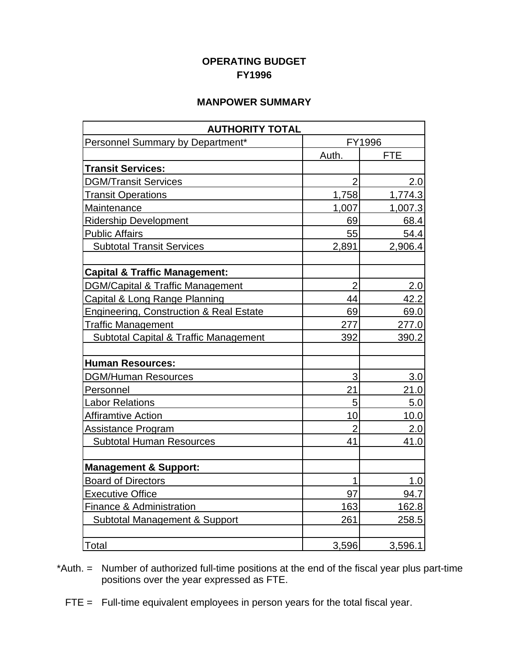#### **OPERATING BUDGET FY1996**

#### **MANPOWER SUMMARY**

| <b>AUTHORITY TOTAL</b>                             |                |            |
|----------------------------------------------------|----------------|------------|
| Personnel Summary by Department*                   |                | FY1996     |
|                                                    | Auth.          | <b>FTE</b> |
| <b>Transit Services:</b>                           |                |            |
| <b>DGM/Transit Services</b>                        | $\overline{2}$ | 2.0        |
| <b>Transit Operations</b>                          | 1,758          | 1,774.3    |
| Maintenance                                        | 1,007          | 1,007.3    |
| <b>Ridership Development</b>                       | 69             | 68.4       |
| <b>Public Affairs</b>                              | 55             | 54.4       |
| <b>Subtotal Transit Services</b>                   | 2,891          | 2,906.4    |
| <b>Capital &amp; Traffic Management:</b>           |                |            |
| <b>DGM/Capital &amp; Traffic Management</b>        | $\overline{2}$ | 2.0        |
| Capital & Long Range Planning                      | 44             | 42.2       |
| <b>Engineering, Construction &amp; Real Estate</b> | 69             | 69.0       |
| <b>Traffic Management</b>                          | 277            | 277.0      |
| <b>Subtotal Capital &amp; Traffic Management</b>   | 392            | 390.2      |
| <b>Human Resources:</b>                            |                |            |
| <b>DGM/Human Resources</b>                         | 3              | 3.0        |
| Personnel                                          | 21             | 21.0       |
| Labor Relations                                    | 5              | 5.0        |
| <b>Affiramtive Action</b>                          | 10             | 10.0       |
| <b>Assistance Program</b>                          | $\overline{2}$ | 2.0        |
| <b>Subtotal Human Resources</b>                    | 41             | 41.0       |
| <b>Management &amp; Support:</b>                   |                |            |
| <b>Board of Directors</b>                          | $\mathbf{1}$   | 1.0        |
| <b>Executive Office</b>                            | 97             | 94.7       |
| <b>Finance &amp; Administration</b>                | 163            | 162.8      |
| Subtotal Management & Support                      | 261            | 258.5      |
| Total                                              | 3,596          | 3,596.1    |

\*Auth. = Number of authorized full-time positions at the end of the fiscal year plus part-time positions over the year expressed as FTE.

FTE = Full-time equivalent employees in person years for the total fiscal year.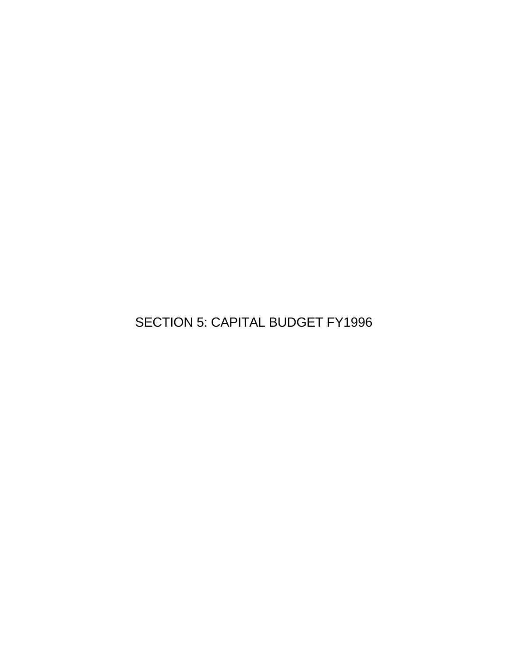SECTION 5: CAPITAL BUDGET FY1996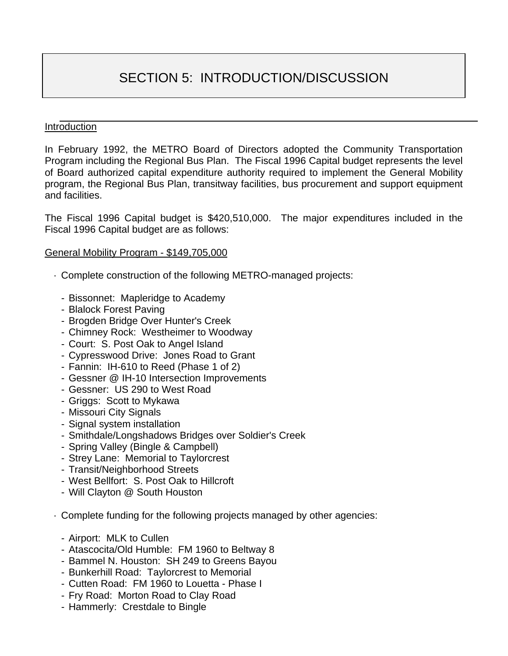# SECTION 5: INTRODUCTION/DISCUSSION

#### Introduction

In February 1992, the METRO Board of Directors adopted the Community Transportation Program including the Regional Bus Plan. The Fiscal 1996 Capital budget represents the level of Board authorized capital expenditure authority required to implement the General Mobility program, the Regional Bus Plan, transitway facilities, bus procurement and support equipment and facilities.

The Fiscal 1996 Capital budget is \$420,510,000. The major expenditures included in the Fiscal 1996 Capital budget are as follows:

#### General Mobility Program - \$149,705,000

- · Complete construction of the following METRO-managed projects:
	- Bissonnet: Mapleridge to Academy
	- Blalock Forest Paving
	- Brogden Bridge Over Hunter's Creek
	- Chimney Rock: Westheimer to Woodway
	- Court: S. Post Oak to Angel Island
	- Cypresswood Drive: Jones Road to Grant
	- Fannin: IH-610 to Reed (Phase 1 of 2)
	- Gessner @ IH-10 Intersection Improvements
	- Gessner: US 290 to West Road
	- Griggs: Scott to Mykawa
	- Missouri City Signals
	- Signal system installation
	- Smithdale/Longshadows Bridges over Soldier's Creek
	- Spring Valley (Bingle & Campbell)
	- Strey Lane: Memorial to Taylorcrest
	- Transit/Neighborhood Streets
	- West Bellfort: S. Post Oak to Hillcroft
	- Will Clayton @ South Houston
- · Complete funding for the following projects managed by other agencies:
	- Airport: MLK to Cullen
	- Atascocita/Old Humble: FM 1960 to Beltway 8
	- Bammel N. Houston: SH 249 to Greens Bayou
	- Bunkerhill Road: Taylorcrest to Memorial
	- Cutten Road: FM 1960 to Louetta Phase I
	- Fry Road: Morton Road to Clay Road
	- Hammerly: Crestdale to Bingle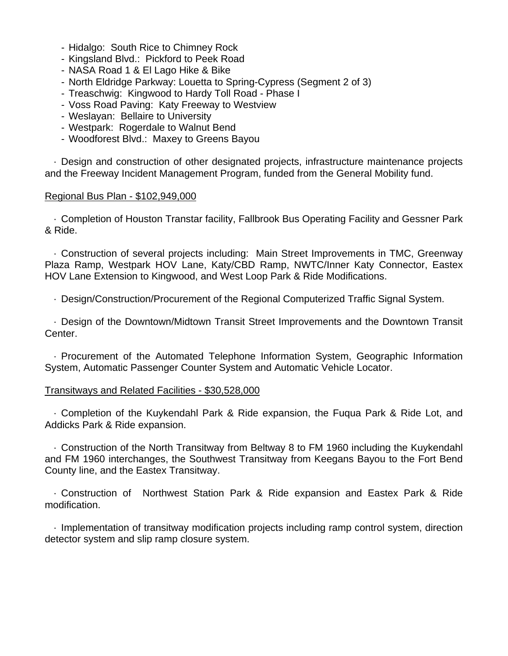- Hidalgo: South Rice to Chimney Rock
- Kingsland Blvd.: Pickford to Peek Road
- NASA Road 1 & El Lago Hike & Bike
- North Eldridge Parkway: Louetta to Spring-Cypress (Segment 2 of 3)
- Treaschwig: Kingwood to Hardy Toll Road Phase I
- Voss Road Paving: Katy Freeway to Westview
- Weslayan: Bellaire to University
- Westpark: Rogerdale to Walnut Bend
- Woodforest Blvd.: Maxey to Greens Bayou

 · Design and construction of other designated projects, infrastructure maintenance projects and the Freeway Incident Management Program, funded from the General Mobility fund.

#### Regional Bus Plan - \$102,949,000

 · Completion of Houston Transtar facility, Fallbrook Bus Operating Facility and Gessner Park & Ride.

 · Construction of several projects including: Main Street Improvements in TMC, Greenway Plaza Ramp, Westpark HOV Lane, Katy/CBD Ramp, NWTC/Inner Katy Connector, Eastex HOV Lane Extension to Kingwood, and West Loop Park & Ride Modifications.

· Design/Construction/Procurement of the Regional Computerized Traffic Signal System.

 · Design of the Downtown/Midtown Transit Street Improvements and the Downtown Transit Center.

 · Procurement of the Automated Telephone Information System, Geographic Information System, Automatic Passenger Counter System and Automatic Vehicle Locator.

#### Transitways and Related Facilities - \$30,528,000

 · Completion of the Kuykendahl Park & Ride expansion, the Fuqua Park & Ride Lot, and Addicks Park & Ride expansion.

 · Construction of the North Transitway from Beltway 8 to FM 1960 including the Kuykendahl and FM 1960 interchanges, the Southwest Transitway from Keegans Bayou to the Fort Bend County line, and the Eastex Transitway.

 · Construction of Northwest Station Park & Ride expansion and Eastex Park & Ride modification.

 · Implementation of transitway modification projects including ramp control system, direction detector system and slip ramp closure system.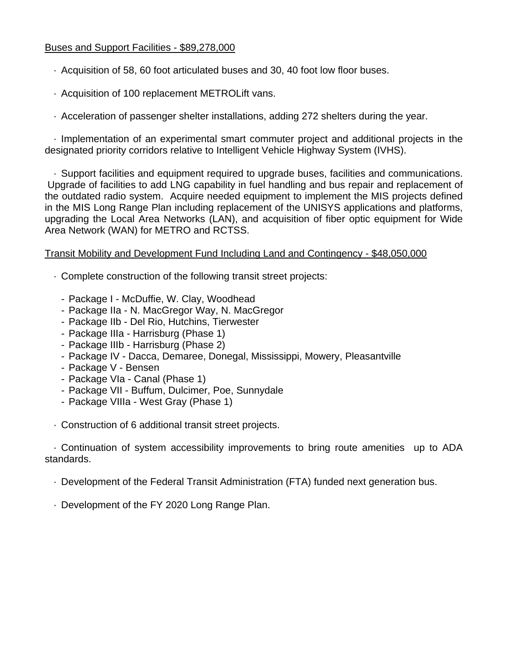#### Buses and Support Facilities - \$89,278,000

- · Acquisition of 58, 60 foot articulated buses and 30, 40 foot low floor buses.
- · Acquisition of 100 replacement METROLift vans.
- · Acceleration of passenger shelter installations, adding 272 shelters during the year.

 · Implementation of an experimental smart commuter project and additional projects in the designated priority corridors relative to Intelligent Vehicle Highway System (IVHS).

 · Support facilities and equipment required to upgrade buses, facilities and communications. Upgrade of facilities to add LNG capability in fuel handling and bus repair and replacement of the outdated radio system. Acquire needed equipment to implement the MIS projects defined in the MIS Long Range Plan including replacement of the UNISYS applications and platforms, upgrading the Local Area Networks (LAN), and acquisition of fiber optic equipment for Wide Area Network (WAN) for METRO and RCTSS.

#### Transit Mobility and Development Fund Including Land and Contingency - \$48,050,000

- · Complete construction of the following transit street projects:
	- Package I McDuffie, W. Clay, Woodhead
	- Package IIa N. MacGregor Way, N. MacGregor
	- Package IIb Del Rio, Hutchins, Tierwester
	- Package IIIa Harrisburg (Phase 1)
	- Package IIIb Harrisburg (Phase 2)
	- Package IV Dacca, Demaree, Donegal, Mississippi, Mowery, Pleasantville
	- Package V Bensen
	- Package VIa Canal (Phase 1)
	- Package VII Buffum, Dulcimer, Poe, Sunnydale
	- Package VIIIa West Gray (Phase 1)
- · Construction of 6 additional transit street projects.

 · Continuation of system accessibility improvements to bring route amenities up to ADA standards.

- · Development of the Federal Transit Administration (FTA) funded next generation bus.
- · Development of the FY 2020 Long Range Plan.